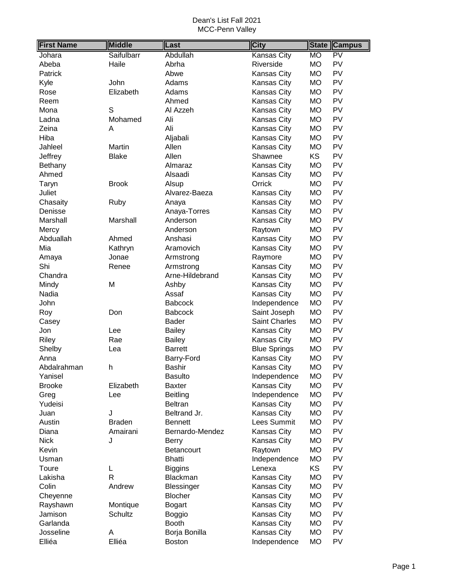| <b>First Name</b> | <b>Middle</b> | Last              | <b>City</b>          | <b>State</b> | <b>Campus</b> |
|-------------------|---------------|-------------------|----------------------|--------------|---------------|
| Johara            | Saifulbarr    | Abdullah          | Kansas City          | <b>MO</b>    | PV            |
| Abeba             | Haile         | Abrha             | Riverside            | <b>MO</b>    | PV            |
| Patrick           |               | Abwe              | Kansas City          | <b>MO</b>    | PV            |
| Kyle              | John          | Adams             | Kansas City          | <b>MO</b>    | PV            |
| Rose              | Elizabeth     | Adams             | <b>Kansas City</b>   | <b>MO</b>    | PV            |
| Reem              |               | Ahmed             | Kansas City          | <b>MO</b>    | PV            |
| Mona              | S             | Al Azzeh          | Kansas City          | <b>MO</b>    | PV            |
| Ladna             | Mohamed       | Ali               | Kansas City          | <b>MO</b>    | PV            |
| Zeina             | Α             | Ali               | <b>Kansas City</b>   | <b>MO</b>    | PV            |
| Hiba              |               | Aljabali          | Kansas City          | <b>MO</b>    | PV            |
| Jahleel           | Martin        | Allen             | <b>Kansas City</b>   | <b>MO</b>    | PV            |
| Jeffrey           | <b>Blake</b>  | Allen             | Shawnee              | KS           | PV            |
| Bethany           |               | Almaraz           | Kansas City          | <b>MO</b>    | PV            |
| Ahmed             |               | Alsaadi           | <b>Kansas City</b>   | <b>MO</b>    | PV            |
| Taryn             | <b>Brook</b>  | Alsup             | Orrick               | <b>MO</b>    | PV            |
| Juliet            |               | Alvarez-Baeza     | <b>Kansas City</b>   | <b>MO</b>    | PV            |
| Chasaity          | Ruby          | Anaya             | Kansas City          | <b>MO</b>    | PV            |
| Denisse           |               | Anaya-Torres      | Kansas City          | <b>MO</b>    | PV            |
| Marshall          | Marshall      | Anderson          | <b>Kansas City</b>   | <b>MO</b>    | PV            |
| Mercy             |               | Anderson          | Raytown              | <b>MO</b>    | PV            |
| Abduallah         | Ahmed         | Anshasi           | Kansas City          | <b>MO</b>    | PV            |
| Mia               | Kathryn       | Aramovich         | <b>Kansas City</b>   | <b>MO</b>    | PV            |
| Amaya             | Jonae         | Armstrong         | Raymore              | <b>MO</b>    | PV            |
| Shi               | Renee         | Armstrong         | Kansas City          | <b>MO</b>    | PV            |
| Chandra           |               | Arne-Hildebrand   | Kansas City          | <b>MO</b>    | PV            |
| Mindy             | M             | Ashby             | Kansas City          | <b>MO</b>    | PV            |
| Nadia             |               | Assaf             | Kansas City          | <b>MO</b>    | PV            |
| John              |               | <b>Babcock</b>    | Independence         | <b>MO</b>    | PV            |
| Roy               | Don           | <b>Babcock</b>    | Saint Joseph         | <b>MO</b>    | PV            |
| Casey             |               | <b>Bader</b>      | <b>Saint Charles</b> | <b>MO</b>    | PV            |
| Jon               | Lee           | <b>Bailey</b>     | Kansas City          | <b>MO</b>    | PV            |
| Riley             | Rae           | <b>Bailey</b>     | Kansas City          | <b>MO</b>    | PV            |
| Shelby            | Lea           | <b>Barrett</b>    | <b>Blue Springs</b>  | <b>MO</b>    | PV            |
| Anna              |               | Barry-Ford        | Kansas City          | <b>MO</b>    | PV            |
| Abdalrahman       | h             | Bashir            | <b>Kansas City</b>   | <b>MO</b>    | PV            |
| Yanisel           |               | <b>Basulto</b>    | Independence         | <b>MO</b>    | PV            |
| <b>Brooke</b>     | Elizabeth     | <b>Baxter</b>     | Kansas City          | <b>MO</b>    | PV            |
| Greg              | Lee           | <b>Beitling</b>   | Independence         | <b>MO</b>    | PV            |
| Yudeisi           |               | <b>Beltran</b>    | Kansas City          | <b>MO</b>    | PV            |
| Juan              | J             | Beltrand Jr.      | Kansas City          | <b>MO</b>    | PV            |
| Austin            | <b>Braden</b> | <b>Bennett</b>    | Lees Summit          | <b>MO</b>    | PV            |
| Diana             | Amairani      | Bernardo-Mendez   | Kansas City          | <b>MO</b>    | PV            |
| <b>Nick</b>       | J             | Berry             | Kansas City          | <b>MO</b>    | PV            |
| Kevin             |               | Betancourt        | Raytown              | <b>MO</b>    | PV            |
| Usman             |               | <b>Bhatti</b>     | Independence         | <b>MO</b>    | PV            |
| Toure             | L             | <b>Biggins</b>    | Lenexa               | KS           | PV            |
| Lakisha           | $\mathsf{R}$  | Blackman          | Kansas City          | <b>MO</b>    | PV            |
| Colin             | Andrew        | <b>Blessinger</b> | Kansas City          | <b>MO</b>    | PV            |
| Cheyenne          |               | <b>Blocher</b>    | Kansas City          | <b>MO</b>    | PV            |
| Rayshawn          | Montique      | <b>Bogart</b>     | Kansas City          | <b>MO</b>    | PV            |
| Jamison           | Schultz       | <b>Boggio</b>     | Kansas City          | <b>MO</b>    | PV            |
| Garlanda          |               | <b>Booth</b>      | Kansas City          | <b>MO</b>    | PV            |
| Josseline         | A             | Borja Bonilla     | Kansas City          | <b>MO</b>    | PV            |
| Elliéa            | Elliéa        | <b>Boston</b>     | Independence         | <b>MO</b>    | PV            |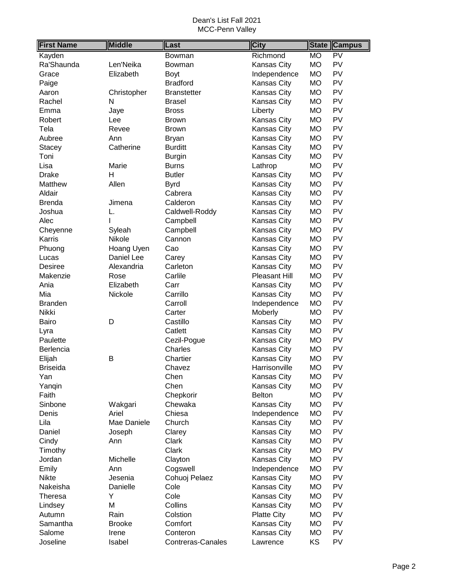| <b>First Name</b> | <b>Middle</b> | Last               | <b>City</b>        | <b>State</b> | <b>Campus</b> |
|-------------------|---------------|--------------------|--------------------|--------------|---------------|
| Kayden            |               | Bowman             | Richmond           | <b>MO</b>    | PV            |
| Ra'Shaunda        | Len'Neika     | Bowman             | Kansas City        | <b>MO</b>    | PV            |
| Grace             | Elizabeth     | Boyt               | Independence       | <b>MO</b>    | PV            |
| Paige             |               | <b>Bradford</b>    | Kansas City        | MO           | PV            |
| Aaron             | Christopher   | <b>Branstetter</b> | Kansas City        | <b>MO</b>    | PV            |
| Rachel            | N             | <b>Brasel</b>      | Kansas City        | <b>MO</b>    | PV            |
| Emma              | Jaye          | <b>Bross</b>       | Liberty            | <b>MO</b>    | PV            |
| Robert            | Lee           | <b>Brown</b>       | Kansas City        | <b>MO</b>    | PV            |
| Tela              | Revee         | <b>Brown</b>       | Kansas City        | <b>MO</b>    | PV            |
| Aubree            | Ann           | <b>Bryan</b>       | Kansas City        | <b>MO</b>    | PV            |
| Stacey            | Catherine     | <b>Burditt</b>     | Kansas City        | <b>MO</b>    | PV            |
| Toni              |               | <b>Burgin</b>      | Kansas City        | <b>MO</b>    | PV            |
| Lisa              | Marie         | <b>Burns</b>       | Lathrop            | <b>MO</b>    | PV            |
| <b>Drake</b>      | Н             | <b>Butler</b>      | Kansas City        | <b>MO</b>    | PV            |
| Matthew           | Allen         | <b>Byrd</b>        | Kansas City        | <b>MO</b>    | PV            |
| Aldair            |               | Cabrera            | Kansas City        | <b>MO</b>    | PV            |
| <b>Brenda</b>     | Jimena        | Calderon           | Kansas City        | <b>MO</b>    | PV            |
| Joshua            | L.            | Caldwell-Roddy     | Kansas City        | <b>MO</b>    | PV            |
| Alec              | I             | Campbell           | Kansas City        | МO           | PV            |
| Cheyenne          | Syleah        | Campbell           | Kansas City        | <b>MO</b>    | PV            |
| Karris            | Nikole        | Cannon             | Kansas City        | MO           | PV            |
| Phuong            | Hoang Uyen    | Cao                | Kansas City        | <b>MO</b>    | PV            |
| Lucas             | Daniel Lee    | Carey              | Kansas City        | <b>MO</b>    | PV            |
| <b>Desiree</b>    | Alexandria    | Carleton           | Kansas City        | <b>MO</b>    | PV            |
| Makenzie          | Rose          | Carlile            | Pleasant Hill      | <b>MO</b>    | PV            |
| Ania              | Elizabeth     | Carr               | Kansas City        | <b>MO</b>    | PV            |
| Mia               | Nickole       | Carrillo           | Kansas City        | <b>MO</b>    | PV            |
| <b>Branden</b>    |               | Carroll            | Independence       | <b>MO</b>    | PV            |
| Nikki             |               | Carter             | Moberly            | MO           | PV            |
| Bairo             | D             | Castillo           | Kansas City        | MO           | PV            |
| Lyra              |               | Catlett            | Kansas City        | <b>MO</b>    | PV            |
| Paulette          |               | Cezil-Pogue        | Kansas City        | <b>MO</b>    | PV            |
| Berlencia         |               | Charles            | Kansas City        | <b>MO</b>    | PV            |
| Elijah            | B             | Chartier           | Kansas City        | <b>MO</b>    | PV            |
| <b>Briseida</b>   |               | Chavez             | Harrisonville      | <b>MO</b>    | PV            |
| Yan               |               | Chen               | Kansas City        | <b>MO</b>    | PV            |
| Yangin            |               | Chen               | Kansas City        | MO           | PV            |
| Faith             |               | Chepkorir          | <b>Belton</b>      | MO           | PV            |
| Sinbone           | Wakgari       | Chewaka            | Kansas City        | <b>MO</b>    | PV            |
| Denis             | Ariel         | Chiesa             | Independence       | <b>MO</b>    | PV            |
| Lila              | Mae Daniele   | Church             | Kansas City        | <b>MO</b>    | PV            |
| Daniel            | Joseph        | Clarey             | Kansas City        | <b>MO</b>    | PV            |
| Cindy             | Ann           | Clark              | Kansas City        | MO           | PV            |
| Timothy           |               | Clark              | Kansas City        | <b>MO</b>    | PV            |
| Jordan            | Michelle      | Clayton            | Kansas City        | <b>MO</b>    | PV            |
| Emily             | Ann           | Cogswell           | Independence       | <b>MO</b>    | PV            |
| <b>Nikte</b>      | Jesenia       | Cohuoj Pelaez      | Kansas City        | MO           | PV            |
| Nakeisha          | Danielle      | Cole               | Kansas City        | MO           | PV            |
| Theresa           | Y             | Cole               | Kansas City        | MO           | PV            |
| Lindsey           | M             | Collins            | Kansas City        | MO           | PV            |
| Autumn            | Rain          | Colstion           | <b>Platte City</b> | <b>MO</b>    | PV            |
| Samantha          | <b>Brooke</b> | Comfort            | Kansas City        | <b>MO</b>    | PV            |
| Salome            | Irene         | Conteron           | Kansas City        | MO           | PV            |
| Joseline          | Isabel        | Contreras-Canales  | Lawrence           | KS           | PV            |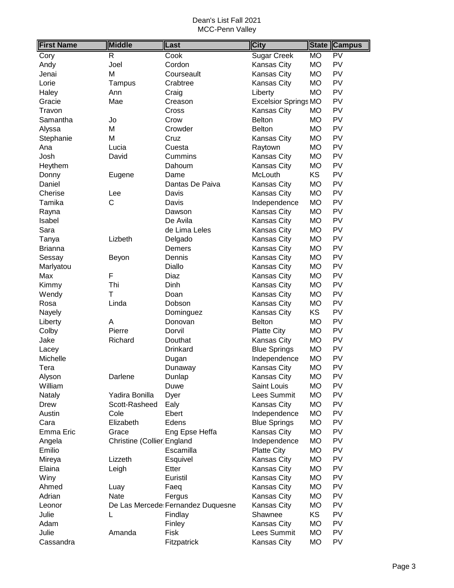| <b>First Name</b> | Middle                            | Last                              | <b>City</b>                 | <b>State</b> | <b>Campus</b> |
|-------------------|-----------------------------------|-----------------------------------|-----------------------------|--------------|---------------|
| Cory              | R                                 | Cook                              | <b>Sugar Creek</b>          | <b>MO</b>    | PV            |
| Andy              | Joel                              | Cordon                            | Kansas City                 | <b>MO</b>    | PV            |
| Jenai             | M                                 | Courseault                        | Kansas City                 | <b>MO</b>    | PV            |
| Lorie             | <b>Tampus</b>                     | Crabtree                          | <b>Kansas City</b>          | <b>MO</b>    | PV            |
| Haley             | Ann                               | Craig                             | Liberty                     | <b>MO</b>    | PV            |
| Gracie            | Mae                               | Creason                           | <b>Excelsior Springs MO</b> |              | PV            |
| Travon            |                                   | Cross                             | Kansas City                 | МO           | PV            |
| Samantha          | Jo                                | Crow                              | <b>Belton</b>               | <b>MO</b>    | PV            |
| Alyssa            | M                                 | Crowder                           | Belton                      | <b>MO</b>    | PV            |
| Stephanie         | M                                 | Cruz                              | Kansas City                 | <b>MO</b>    | PV            |
| Ana               | Lucia                             | Cuesta                            | Raytown                     | <b>MO</b>    | PV            |
| Josh              | David                             | Cummins                           | Kansas City                 | <b>MO</b>    | PV            |
| Heythem           |                                   | Dahoum                            | Kansas City                 | <b>MO</b>    | PV            |
| Donny             | Eugene                            | Dame                              | McLouth                     | KS           | PV            |
| Daniel            |                                   | Dantas De Paiva                   | Kansas City                 | <b>MO</b>    | PV            |
| Cherise           | Lee                               | Davis                             | Kansas City                 | <b>MO</b>    | PV            |
| Tamika            | C                                 | Davis                             | Independence                | <b>MO</b>    | PV            |
| Rayna             |                                   | Dawson                            | Kansas City                 | <b>MO</b>    | PV            |
| Isabel            |                                   | De Avila                          | <b>Kansas City</b>          | <b>MO</b>    | PV            |
| Sara              |                                   | de Lima Leles                     | <b>Kansas City</b>          | <b>MO</b>    | PV            |
| Tanya             | Lizbeth                           | Delgado                           | <b>Kansas City</b>          | <b>MO</b>    | PV            |
| <b>Brianna</b>    |                                   | Demers                            | <b>Kansas City</b>          | <b>MO</b>    | PV            |
| Sessay            | Beyon                             | Dennis                            | <b>Kansas City</b>          | <b>MO</b>    | PV            |
| Marlyatou         |                                   | <b>Diallo</b>                     | Kansas City                 | <b>MO</b>    | PV            |
| Max               | F                                 | Diaz                              | <b>Kansas City</b>          | <b>MO</b>    | PV            |
| Kimmy             | Thi                               | Dinh                              | Kansas City                 | <b>MO</b>    | PV            |
| Wendy             | Τ                                 | Doan                              | <b>Kansas City</b>          | <b>MO</b>    | PV            |
| Rosa              | Linda                             | Dobson                            | Kansas City                 | <b>MO</b>    | PV            |
| Nayely            |                                   | Dominguez                         | Kansas City                 | KS           | PV            |
| Liberty           | A                                 | Donovan                           | <b>Belton</b>               | <b>MO</b>    | PV            |
| Colby             | Pierre                            | Dorvil                            | <b>Platte City</b>          | <b>MO</b>    | PV            |
| Jake              | Richard                           | Douthat                           | Kansas City                 | <b>MO</b>    | PV            |
| Lacey             |                                   | Drinkard                          | <b>Blue Springs</b>         | <b>MO</b>    | PV            |
| Michelle          |                                   | Dugan                             | Independence                | <b>MO</b>    | PV            |
| Tera              |                                   | Dunaway                           | Kansas City                 | <b>MO</b>    | PV            |
| Alyson            | Darlene                           | Dunlap                            | <b>Kansas City</b>          | MO           | PV            |
| William           |                                   | Duwe                              | Saint Louis                 | <b>MO</b>    | PV            |
| Nataly            | Yadira Bonilla                    | Dyer                              | Lees Summit                 | <b>MO</b>    | PV            |
| Drew              | Scott-Rasheed                     | Ealy                              | <b>Kansas City</b>          | <b>MO</b>    | PV            |
| Austin            | Cole                              | Ebert                             | Independence                | <b>MO</b>    | PV            |
| Cara              | Elizabeth                         | Edens                             | <b>Blue Springs</b>         | <b>MO</b>    | PV            |
| Emma Eric         | Grace                             | Eng Epse Heffa                    | Kansas City                 | MO           | PV            |
| Angela            | <b>Christine (Collier England</b> |                                   | Independence                | <b>MO</b>    | PV            |
| Emilio            |                                   | Escamilla                         | <b>Platte City</b>          | MO           | PV            |
| Mireya            | Lizzeth                           | Esquivel                          | Kansas City                 | MO           | PV            |
| Elaina            | Leigh                             | Etter                             | Kansas City                 | MO           | PV            |
| Winy              |                                   | Euristil                          | Kansas City                 | MO           | PV            |
| Ahmed             | Luay                              | Faeq                              | Kansas City                 | MO           | PV            |
| Adrian            | Nate                              | Fergus                            | Kansas City                 | MO           | PV            |
| Leonor            |                                   | De Las Mercede Fernandez Duquesne | Kansas City                 | <b>MO</b>    | PV            |
| Julie             | L                                 | Findlay                           | Shawnee                     | KS           | <b>PV</b>     |
| Adam              |                                   | Finley                            | Kansas City                 | MO           | PV            |
| Julie             | Amanda                            | Fisk                              | Lees Summit                 | <b>MO</b>    | PV            |
| Cassandra         |                                   | Fitzpatrick                       | Kansas City                 | <b>MO</b>    | <b>PV</b>     |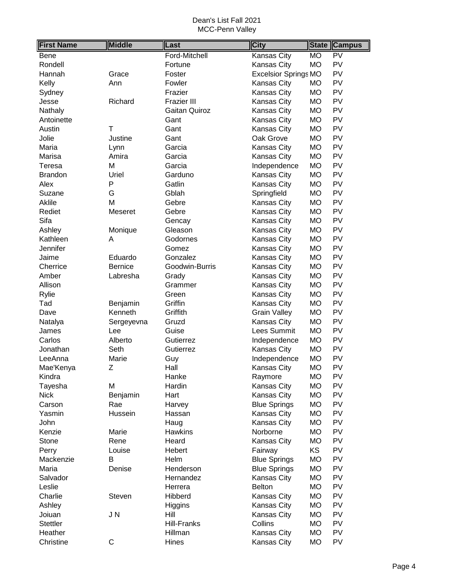| <b>First Name</b> | <b>Middle</b>  | Last                 | <b>City</b>                 | <b>State</b> | <b>Campus</b> |
|-------------------|----------------|----------------------|-----------------------------|--------------|---------------|
| <b>Bene</b>       |                | Ford-Mitchell        | Kansas City                 | <b>MO</b>    | PV            |
| Rondell           |                | Fortune              | <b>Kansas City</b>          | <b>MO</b>    | PV            |
| Hannah            | Grace          | Foster               | <b>Excelsior Springs MO</b> |              | PV            |
| Kelly             | Ann            | Fowler               | <b>Kansas City</b>          | <b>MO</b>    | PV            |
| Sydney            |                | Frazier              | <b>Kansas City</b>          | <b>MO</b>    | PV            |
| Jesse             | Richard        | <b>Frazier III</b>   | <b>Kansas City</b>          | <b>MO</b>    | PV            |
| Nathaly           |                | <b>Gaitan Quiroz</b> | <b>Kansas City</b>          | MO           | PV            |
| Antoinette        |                | Gant                 | <b>Kansas City</b>          | MO           | PV            |
| Austin            | T              | Gant                 | <b>Kansas City</b>          | <b>MO</b>    | PV            |
| Jolie             | Justine        | Gant                 | Oak Grove                   | <b>MO</b>    | PV            |
| Maria             | Lynn           | Garcia               | <b>Kansas City</b>          | <b>MO</b>    | PV            |
| Marisa            | Amira          | Garcia               | <b>Kansas City</b>          | <b>MO</b>    | PV            |
| Teresa            | M              | Garcia               | Independence                | <b>MO</b>    | PV            |
| <b>Brandon</b>    | Uriel          | Garduno              | <b>Kansas City</b>          | <b>MO</b>    | PV            |
| Alex              | P              | Gatlin               | <b>Kansas City</b>          | <b>MO</b>    | PV            |
| Suzane            | G              | Gblah                | Springfield                 | <b>MO</b>    | PV            |
| Aklile            | M              | Gebre                | Kansas City                 | <b>MO</b>    | PV            |
| Rediet            | Meseret        | Gebre                | <b>Kansas City</b>          | <b>MO</b>    | PV            |
| Sifa              |                | Gencay               | <b>Kansas City</b>          | <b>MO</b>    | PV            |
| Ashley            | Monique        | Gleason              | <b>Kansas City</b>          | <b>MO</b>    | PV            |
| Kathleen          | A              | Godornes             | <b>Kansas City</b>          | <b>MO</b>    | PV            |
| Jennifer          |                | Gomez                | <b>Kansas City</b>          | <b>MO</b>    | PV            |
| Jaime             | Eduardo        | Gonzalez             | <b>Kansas City</b>          | <b>MO</b>    | PV            |
| Cherrice          | <b>Bernice</b> | Goodwin-Burris       | <b>Kansas City</b>          | <b>MO</b>    | PV            |
| Amber             | Labresha       | Grady                | <b>Kansas City</b>          | <b>MO</b>    | PV            |
| Allison           |                | Grammer              | <b>Kansas City</b>          | MO           | PV            |
| Rylie             |                | Green                | <b>Kansas City</b>          | <b>MO</b>    | PV            |
| Tad               | Benjamin       | Griffin              | <b>Kansas City</b>          | <b>MO</b>    | PV            |
| Dave              | Kenneth        | Griffith             | <b>Grain Valley</b>         | <b>MO</b>    | PV            |
| Natalya           | Sergeyevna     | Gruzd                | <b>Kansas City</b>          | <b>MO</b>    | PV            |
| James             | Lee            | Guise                | Lees Summit                 | <b>MO</b>    | PV            |
| Carlos            | Alberto        | Gutierrez            | Independence                | <b>MO</b>    | PV            |
| Jonathan          | Seth           | Gutierrez            | Kansas City                 | <b>MO</b>    | PV            |
| LeeAnna           | Marie          | Guy                  | Independence                | <b>MO</b>    | PV            |
| Mae'Kenya         | Z              | Hall                 | <b>Kansas City</b>          | <b>MO</b>    | PV            |
| Kindra            |                | Hanke                | Raymore                     | <b>MO</b>    | PV            |
| Tayesha           | Μ              | Hardin               | <b>Kansas City</b>          | <b>MO</b>    | PV            |
| <b>Nick</b>       | Benjamin       | Hart                 | Kansas City                 | <b>MO</b>    | PV            |
| Carson            | Rae            | Harvey               | <b>Blue Springs</b>         | <b>MO</b>    | PV            |
| Yasmin            | Hussein        | Hassan               | Kansas City                 | MO           | PV            |
| John              |                | Haug                 | <b>Kansas City</b>          | MO           | PV            |
| Kenzie            | Marie          | <b>Hawkins</b>       | Norborne                    | MO           | PV            |
| Stone             | Rene           | Heard                | <b>Kansas City</b>          | <b>MO</b>    | PV            |
| Perry             | Louise         | Hebert               | Fairway                     | KS           | PV            |
| Mackenzie         | В              | Helm                 | <b>Blue Springs</b>         | <b>MO</b>    | PV            |
| Maria             | Denise         | Henderson            | <b>Blue Springs</b>         | MO           | PV            |
| Salvador          |                | Hernandez            | <b>Kansas City</b>          | <b>MO</b>    | PV            |
| Leslie            |                | Herrera              | <b>Belton</b>               | <b>MO</b>    | PV            |
| Charlie           | Steven         | Hibberd              | <b>Kansas City</b>          | <b>MO</b>    | PV            |
| Ashley            |                | Higgins              | <b>Kansas City</b>          | МO           | PV            |
| Joiuan            | JN             | Hill                 | <b>Kansas City</b>          | MO           | PV            |
| <b>Stettler</b>   |                | <b>Hill-Franks</b>   | Collins                     | <b>MO</b>    | PV            |
| Heather           |                | Hillman              | Kansas City                 | <b>MO</b>    | PV            |
| Christine         | $\mathsf C$    | Hines                | Kansas City                 | <b>MO</b>    | PV            |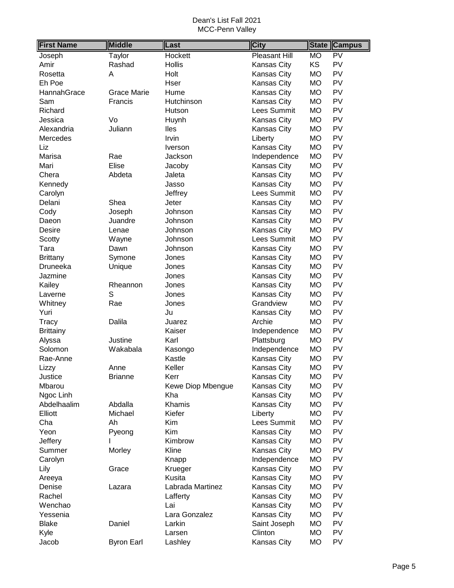| <b>First Name</b> | <b>Middle</b>      | Last              | <b>City</b>          | <b>State</b> | <b>Campus</b>            |
|-------------------|--------------------|-------------------|----------------------|--------------|--------------------------|
| Joseph            | Taylor             | Hockett           | <b>Pleasant Hill</b> | <b>MO</b>    | $\overline{\mathsf{PV}}$ |
| Amir              | Rashad             | <b>Hollis</b>     | Kansas City          | KS           | PV                       |
| Rosetta           | A                  | Holt              | Kansas City          | <b>MO</b>    | PV                       |
| Eh Poe            |                    | Hser              | Kansas City          | <b>MO</b>    | PV                       |
| HannahGrace       | <b>Grace Marie</b> | Hume              | Kansas City          | <b>MO</b>    | PV                       |
| Sam               | Francis            | Hutchinson        | Kansas City          | <b>MO</b>    | PV                       |
| Richard           |                    | Hutson            | Lees Summit          | <b>MO</b>    | PV                       |
| Jessica           | Vo                 | Huynh             | Kansas City          | <b>MO</b>    | PV                       |
| Alexandria        | Juliann            | lles              | Kansas City          | <b>MO</b>    | PV                       |
| Mercedes          |                    | Irvin             | Liberty              | <b>MO</b>    | PV                       |
| Liz               |                    | <i>Iverson</i>    | Kansas City          | <b>MO</b>    | PV                       |
| Marisa            | Rae                | Jackson           | Independence         | <b>MO</b>    | PV                       |
| Mari              | Elise              | Jacoby            | Kansas City          | <b>MO</b>    | PV                       |
| Chera             | Abdeta             | Jaleta            | Kansas City          | <b>MO</b>    | PV                       |
| Kennedy           |                    | Jasso             | Kansas City          | <b>MO</b>    | PV                       |
| Carolyn           |                    | Jeffrey           | Lees Summit          | <b>MO</b>    | PV                       |
| Delani            | Shea               | Jeter             | Kansas City          | <b>MO</b>    | PV                       |
| Cody              | Joseph             | Johnson           | Kansas City          | MO           | PV                       |
| Daeon             | Juandre            | Johnson           | Kansas City          | MO           | PV                       |
| Desire            | Lenae              | Johnson           | Kansas City          | <b>MO</b>    | PV                       |
| Scotty            | Wayne              | Johnson           | Lees Summit          | <b>MO</b>    | PV                       |
| Tara              | Dawn               | Johnson           | Kansas City          | <b>MO</b>    | PV                       |
| <b>Brittany</b>   | Symone             | Jones             | Kansas City          | <b>MO</b>    | PV                       |
| Druneeka          | Unique             | Jones             | Kansas City          | MO           | PV                       |
| Jazmine           |                    | Jones             | Kansas City          | <b>MO</b>    | PV                       |
| Kailey            | Rheannon           | Jones             | Kansas City          | <b>MO</b>    | PV                       |
| Laverne           | S                  | Jones             | Kansas City          | <b>MO</b>    | PV                       |
| Whitney           | Rae                | Jones             | Grandview            | <b>MO</b>    | PV                       |
| Yuri              |                    | Ju                | Kansas City          | <b>MO</b>    | PV                       |
| Tracy             | Dalila             | Juarez            | Archie               | <b>MO</b>    | PV                       |
| <b>Brittainy</b>  |                    | Kaiser            | Independence         | <b>MO</b>    | PV                       |
| Alyssa            | Justine            | Karl              | Plattsburg           | <b>MO</b>    | PV                       |
| Solomon           | Wakabala           | Kasongo           | Independence         | <b>MO</b>    | PV                       |
| Rae-Anne          |                    | Kastle            | <b>Kansas City</b>   | <b>MO</b>    | PV                       |
| Lizzy             | Anne               | Keller            | Kansas City          | <b>MO</b>    | PV                       |
| Justice           | Brianne            | Kerr              | Kansas City          | <b>MO</b>    | PV                       |
| Mbarou            |                    | Kewe Diop Mbengue | Kansas City          | <b>MO</b>    | PV                       |
| Ngoc Linh         |                    | Kha               | Kansas City          | MO           | PV                       |
| Abdelhaalim       | Abdalla            | Khamis            | Kansas City          | MO           | PV                       |
| Elliott           | Michael            | Kiefer            | Liberty              | MO           | PV                       |
| Cha               | Ah                 | Kim               | Lees Summit          | <b>MO</b>    | PV                       |
| Yeon              | Pyeong             | Kim               | Kansas City          | <b>MO</b>    | PV                       |
| Jeffery           |                    | Kimbrow           | Kansas City          | MO           | PV                       |
| Summer            | Morley             | Kline             | Kansas City          | <b>MO</b>    | PV                       |
| Carolyn           |                    | Knapp             | Independence         | <b>MO</b>    | PV                       |
| Lily              | Grace              | Krueger           | Kansas City          | MO           | PV                       |
| Areeya            |                    | Kusita            | Kansas City          | МO           | PV                       |
| Denise            | Lazara             | Labrada Martinez  | Kansas City          | MO           | PV                       |
| Rachel            |                    | Lafferty          | Kansas City          | MO           | PV                       |
| Wenchao           |                    | Lai               | Kansas City          | MO           | PV                       |
| Yessenia          |                    | Lara Gonzalez     | Kansas City          | MO           | PV                       |
| <b>Blake</b>      | Daniel             | Larkin            | Saint Joseph         | <b>MO</b>    | PV                       |
| Kyle              |                    | Larsen            | Clinton              | <b>MO</b>    | PV                       |
| Jacob             | <b>Byron Earl</b>  | Lashley           | Kansas City          | <b>MO</b>    | PV                       |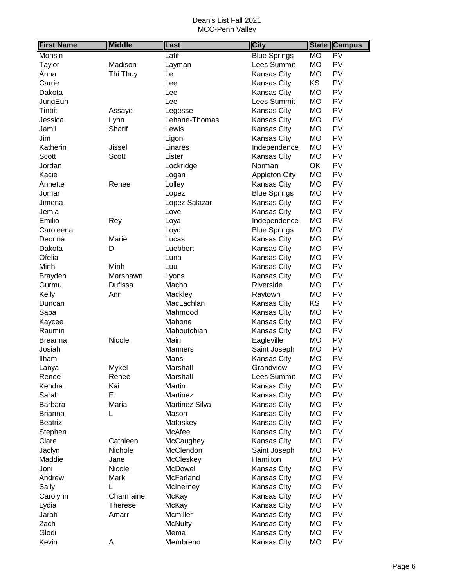| <b>First Name</b> | <b>Middle</b>  | Last           | <b>City</b>          | <b>State</b> | <b>Campus</b>            |
|-------------------|----------------|----------------|----------------------|--------------|--------------------------|
| Mohsin            |                | Latif          | <b>Blue Springs</b>  | <b>MO</b>    | $\overline{\mathsf{PV}}$ |
| Taylor            | Madison        | Layman         | Lees Summit          | <b>MO</b>    | PV                       |
| Anna              | Thi Thuy       | Le             | Kansas City          | <b>MO</b>    | PV                       |
| Carrie            |                | Lee            | Kansas City          | KS           | PV                       |
| Dakota            |                | Lee            | <b>Kansas City</b>   | <b>MO</b>    | PV                       |
| JungEun           |                | Lee            | Lees Summit          | <b>MO</b>    | PV                       |
| Tinbit            | Assaye         | Legesse        | Kansas City          | <b>MO</b>    | PV                       |
| Jessica           | Lynn           | Lehane-Thomas  | <b>Kansas City</b>   | <b>MO</b>    | PV                       |
| Jamil             | Sharif         | Lewis          | <b>Kansas City</b>   | <b>MO</b>    | PV                       |
| Jim               |                | Ligon          | Kansas City          | <b>MO</b>    | PV                       |
| Katherin          | Jissel         | Linares        | Independence         | <b>MO</b>    | PV                       |
| Scott             | Scott          | Lister         | Kansas City          | <b>MO</b>    | PV                       |
| Jordan            |                | Lockridge      | Norman               | <b>OK</b>    | PV                       |
| Kacie             |                | Logan          | <b>Appleton City</b> | <b>MO</b>    | PV                       |
| Annette           | Renee          | Lolley         | Kansas City          | <b>MO</b>    | PV                       |
| Jomar             |                | Lopez          | <b>Blue Springs</b>  | <b>MO</b>    | PV                       |
| Jimena            |                | Lopez Salazar  | Kansas City          | <b>MO</b>    | PV                       |
| Jemia             |                | Love           | <b>Kansas City</b>   | <b>MO</b>    | PV                       |
| Emilio            | Rey            | Loya           | Independence         | <b>MO</b>    | PV                       |
| Caroleena         |                | Loyd           | <b>Blue Springs</b>  | <b>MO</b>    | PV                       |
| Deonna            | Marie          | Lucas          | Kansas City          | <b>MO</b>    | PV                       |
| Dakota            | D              | Luebbert       | <b>Kansas City</b>   | <b>MO</b>    | PV                       |
| Ofelia            |                | Luna           | <b>Kansas City</b>   | <b>MO</b>    | PV                       |
| Minh              | Minh           | Luu            | Kansas City          | <b>MO</b>    | PV                       |
| <b>Brayden</b>    | Marshawn       | Lyons          | <b>Kansas City</b>   | <b>MO</b>    | PV                       |
| Gurmu             | Dufissa        | Macho          | Riverside            | <b>MO</b>    | PV                       |
| Kelly             | Ann            | Mackley        | Raytown              | <b>MO</b>    | PV                       |
| Duncan            |                | MacLachlan     | Kansas City          | KS           | PV                       |
| Saba              |                | Mahmood        | Kansas City          | <b>MO</b>    | PV                       |
| Kaycee            |                | Mahone         | Kansas City          | <b>MO</b>    | PV                       |
| Raumin            |                | Mahoutchian    | Kansas City          | <b>MO</b>    | PV                       |
| <b>Breanna</b>    | Nicole         | Main           | Eagleville           | <b>MO</b>    | PV                       |
| Josiah            |                | <b>Manners</b> | Saint Joseph         | <b>MO</b>    | PV                       |
| Ilham             |                | Mansi          | Kansas City          | <b>MO</b>    | PV                       |
| Lanya             | <b>Mykel</b>   | Marshall       | Grandview            | <b>MO</b>    | PV                       |
| Renee             | Renee          | Marshall       | Lees Summit          | <b>MO</b>    | PV                       |
| Kendra            | Kai            | Martin         | <b>Kansas City</b>   | <b>MO</b>    | PV                       |
| Sarah             | E              | Martinez       | Kansas City          | <b>MO</b>    | PV                       |
| <b>Barbara</b>    | Maria          | Martinez Silva | Kansas City          | <b>MO</b>    | PV                       |
| <b>Brianna</b>    | L              | Mason          | <b>Kansas City</b>   | MO           | PV                       |
| <b>Beatriz</b>    |                | Matoskey       | <b>Kansas City</b>   | <b>MO</b>    | PV                       |
| Stephen           |                | McAfee         | <b>Kansas City</b>   | <b>MO</b>    | PV                       |
| Clare             | Cathleen       | McCaughey      | Kansas City          | <b>MO</b>    | PV                       |
| Jaclyn            | Nichole        | McClendon      | Saint Joseph         | <b>MO</b>    | PV                       |
| Maddie            | Jane           | McCleskey      | Hamilton             | <b>MO</b>    | PV                       |
| Joni              | Nicole         | McDowell       | <b>Kansas City</b>   | <b>MO</b>    | PV                       |
| Andrew            | Mark           | McFarland      | <b>Kansas City</b>   | <b>MO</b>    | PV                       |
| Sally             | L              | McInerney      | <b>Kansas City</b>   | <b>MO</b>    | PV                       |
| Carolynn          | Charmaine      | McKay          | <b>Kansas City</b>   | <b>MO</b>    | PV                       |
| Lydia             | <b>Therese</b> | McKay          | Kansas City          | <b>MO</b>    | PV                       |
| Jarah             | Amarr          | Mcmiller       | Kansas City          | <b>MO</b>    | PV                       |
| Zach              |                | <b>McNulty</b> | Kansas City          | <b>MO</b>    | PV                       |
| Glodi             |                | Mema           | Kansas City          | <b>MO</b>    | PV                       |
| Kevin             | Α              | Membreno       | Kansas City          | MO           | PV                       |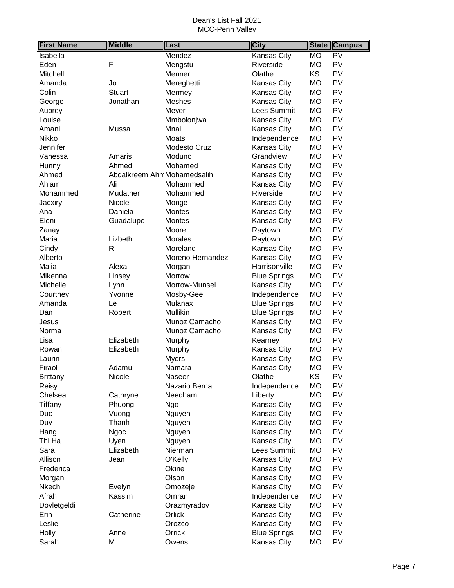| <b>First Name</b> | Middle                      | Last             | <b>City</b>         | <b>State</b> | <b>Campus</b>            |
|-------------------|-----------------------------|------------------|---------------------|--------------|--------------------------|
| Isabella          |                             | Mendez           | Kansas City         | <b>MO</b>    | $\overline{\mathsf{PV}}$ |
| Eden              | F                           | Mengstu          | Riverside           | <b>MO</b>    | PV                       |
| Mitchell          |                             | Menner           | Olathe              | KS           | PV                       |
| Amanda            | Jo                          | Mereghetti       | Kansas City         | <b>MO</b>    | PV                       |
| Colin             | <b>Stuart</b>               | Mermey           | Kansas City         | <b>MO</b>    | PV                       |
| George            | Jonathan                    | <b>Meshes</b>    | Kansas City         | <b>MO</b>    | PV                       |
| Aubrey            |                             | Meyer            | Lees Summit         | <b>MO</b>    | PV                       |
| Louise            |                             | Mmbolonjwa       | Kansas City         | <b>MO</b>    | PV                       |
| Amani             | Mussa                       | Mnai             | Kansas City         | <b>MO</b>    | PV                       |
| Nikko             |                             | Moats            | Independence        | <b>MO</b>    | PV                       |
| Jennifer          |                             | Modesto Cruz     | Kansas City         | <b>MO</b>    | PV                       |
| Vanessa           | Amaris                      | Moduno           | Grandview           | <b>MO</b>    | PV                       |
| Hunny             | Ahmed                       | Mohamed          | Kansas City         | <b>MO</b>    | PV                       |
| Ahmed             | Abdalkreem Ahn Mohamedsalih |                  | Kansas City         | <b>MO</b>    | PV                       |
| Ahlam             | Ali                         | Mohammed         | <b>Kansas City</b>  | <b>MO</b>    | PV                       |
| Mohammed          | Mudather                    | Mohammed         | Riverside           | <b>MO</b>    | PV                       |
| Jacxiry           | Nicole                      | Monge            | Kansas City         | <b>MO</b>    | PV                       |
| Ana               | Daniela                     | <b>Montes</b>    | Kansas City         | <b>MO</b>    | PV                       |
| Eleni             | Guadalupe                   | <b>Montes</b>    | Kansas City         | <b>MO</b>    | PV                       |
| Zanay             |                             | Moore            | Raytown             | <b>MO</b>    | PV                       |
| Maria             | Lizbeth                     | <b>Morales</b>   | Raytown             | <b>MO</b>    | PV                       |
| Cindy             | $\mathsf{R}$                | Moreland         | Kansas City         | <b>MO</b>    | PV                       |
| Alberto           |                             | Moreno Hernandez | Kansas City         | <b>MO</b>    | PV                       |
| Malia             | Alexa                       | Morgan           | Harrisonville       | <b>MO</b>    | PV                       |
| Mikenna           | Linsey                      | Morrow           | <b>Blue Springs</b> | <b>MO</b>    | PV                       |
| Michelle          | Lynn                        | Morrow-Munsel    | Kansas City         | <b>MO</b>    | PV                       |
| Courtney          | Yvonne                      | Mosby-Gee        | Independence        | <b>MO</b>    | PV                       |
| Amanda            | Le                          | Mulanax          | <b>Blue Springs</b> | <b>MO</b>    | PV                       |
| Dan               | Robert                      | Mullikin         | <b>Blue Springs</b> | <b>MO</b>    | PV                       |
| Jesus             |                             | Munoz Camacho    | Kansas City         | <b>MO</b>    | PV                       |
| Norma             |                             | Munoz Camacho    | <b>Kansas City</b>  | <b>MO</b>    | PV                       |
| Lisa              | Elizabeth                   | Murphy           | Kearney             | <b>MO</b>    | PV                       |
| Rowan             | Elizabeth                   | Murphy           | Kansas City         | <b>MO</b>    | PV                       |
| Laurin            |                             | <b>Myers</b>     | Kansas City         | <b>MO</b>    | PV                       |
| Firaol            | Adamu                       | Namara           | <b>Kansas City</b>  | <b>MO</b>    | PV                       |
| <b>Brittany</b>   | Nicole                      | Naseer           | Olathe              | KS           | PV                       |
| Reisy             |                             | Nazario Bernal   | Independence        | <b>MO</b>    | PV                       |
| Chelsea           | Cathryne                    | Needham          | Liberty             | <b>MO</b>    | PV                       |
| Tiffany           | Phuong                      | Ngo              | Kansas City         | <b>MO</b>    | PV                       |
| Duc               | Vuong                       | Nguyen           | Kansas City         | <b>MO</b>    | PV                       |
| Duy               | Thanh                       | Nguyen           | Kansas City         | <b>MO</b>    | PV                       |
| Hang              | Ngoc                        | Nguyen           | Kansas City         | <b>MO</b>    | PV                       |
| Thi Ha            | Uyen                        | Nguyen           | Kansas City         | <b>MO</b>    | PV                       |
| Sara              | Elizabeth                   | Nierman          | Lees Summit         | <b>MO</b>    | PV                       |
| Allison           | Jean                        | O'Kelly          | Kansas City         | <b>MO</b>    | PV                       |
| Frederica         |                             | Okine            | Kansas City         | <b>MO</b>    | PV                       |
| Morgan            |                             | Olson            | Kansas City         | <b>MO</b>    | PV                       |
| Nkechi            | Evelyn                      | Omozeje          | Kansas City         | <b>MO</b>    | PV                       |
| Afrah             | Kassim                      | Omran            | Independence        | <b>MO</b>    | PV                       |
| Dovletgeldi       |                             | Orazmyradov      | Kansas City         | <b>MO</b>    | PV                       |
| Erin              | Catherine                   | Orlick           | Kansas City         | <b>MO</b>    | PV                       |
| Leslie            |                             | Orozco           | Kansas City         | <b>MO</b>    | PV                       |
| Holly             | Anne                        | Orrick           | <b>Blue Springs</b> | <b>MO</b>    | PV                       |
| Sarah             | M                           | Owens            | Kansas City         | <b>MO</b>    | PV                       |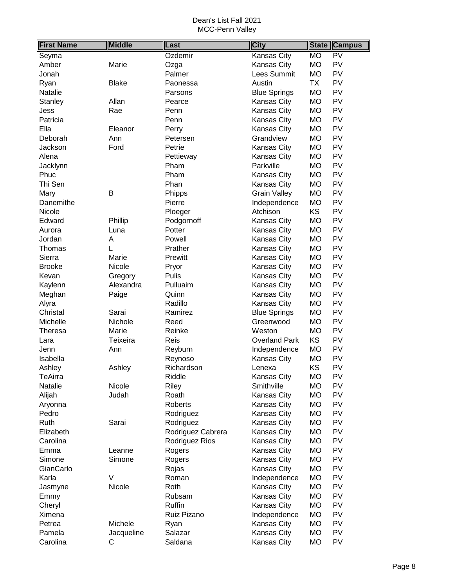| <b>First Name</b> | <b>Middle</b> | Last              | <b>City</b>          | <b>State</b>    | <b>Campus</b>            |
|-------------------|---------------|-------------------|----------------------|-----------------|--------------------------|
| Seyma             |               | Ozdemir           | <b>Kansas City</b>   | $\overline{MO}$ | $\overline{\mathsf{PV}}$ |
| Amber             | Marie         | Ozga              | Kansas City          | <b>MO</b>       | PV                       |
| Jonah             |               | Palmer            | Lees Summit          | <b>MO</b>       | PV                       |
| Ryan              | <b>Blake</b>  | Paonessa          | Austin               | TX              | PV                       |
| <b>Natalie</b>    |               | Parsons           | <b>Blue Springs</b>  | <b>MO</b>       | PV                       |
| <b>Stanley</b>    | Allan         | Pearce            | Kansas City          | <b>MO</b>       | PV                       |
| Jess              | Rae           | Penn              | Kansas City          | <b>MO</b>       | PV                       |
| Patricia          |               | Penn              | Kansas City          | <b>MO</b>       | PV                       |
| Ella              | Eleanor       | Perry             | Kansas City          | <b>MO</b>       | PV                       |
| Deborah           | Ann           | Petersen          | Grandview            | <b>MO</b>       | PV                       |
| Jackson           | Ford          | Petrie            | Kansas City          | <b>MO</b>       | PV                       |
| Alena             |               | Pettieway         | <b>Kansas City</b>   | <b>MO</b>       | PV                       |
| Jacklynn          |               | Pham              | Parkville            | <b>MO</b>       | PV                       |
| Phuc              |               | Pham              | Kansas City          | <b>MO</b>       | PV                       |
| Thi Sen           |               | Phan              | Kansas City          | <b>MO</b>       | PV                       |
| Mary              | В             | Phipps            | <b>Grain Valley</b>  | <b>MO</b>       | PV                       |
| Danemithe         |               | Pierre            | Independence         | <b>MO</b>       | PV                       |
| Nicole            |               | Ploeger           | Atchison             | KS              | PV                       |
| Edward            | Phillip       | Podgornoff        | Kansas City          | <b>MO</b>       | PV                       |
| Aurora            | Luna          | Potter            | Kansas City          | <b>MO</b>       | PV                       |
| Jordan            | Α             | Powell            | Kansas City          | <b>MO</b>       | PV                       |
| Thomas            | L             | Prather           | Kansas City          | <b>MO</b>       | PV                       |
| Sierra            | Marie         | Prewitt           | Kansas City          | <b>MO</b>       | PV                       |
| <b>Brooke</b>     | Nicole        | Pryor             | Kansas City          | <b>MO</b>       | PV                       |
| Kevan             | Gregory       | <b>Pulis</b>      | Kansas City          | <b>MO</b>       | PV                       |
| Kaylenn           | Alexandra     | Pulluaim          | Kansas City          | <b>MO</b>       | PV                       |
| Meghan            | Paige         | Quinn             | Kansas City          | <b>MO</b>       | PV                       |
| Alyra             |               | Radillo           | Kansas City          | <b>MO</b>       | PV                       |
| Christal          | Sarai         | Ramirez           | <b>Blue Springs</b>  | <b>MO</b>       | PV                       |
| Michelle          | Nichole       | Reed              | Greenwood            | <b>MO</b>       | PV                       |
| Theresa           | Marie         | Reinke            | Weston               | <b>MO</b>       | PV                       |
| Lara              | Teixeira      | Reis              | <b>Overland Park</b> | KS              | PV                       |
| Jenn              | Ann           | Reyburn           | Independence         | <b>MO</b>       | PV                       |
| Isabella          |               | Reynoso           | Kansas City          | <b>MO</b>       | PV                       |
| Ashley            | Ashley        | Richardson        | Lenexa               | KS              | PV                       |
| TeAirra           |               | Riddle            | <b>Kansas City</b>   | MO              | PV                       |
| <b>Natalie</b>    | Nicole        | Riley             | Smithville           | <b>MO</b>       | PV                       |
| Alijah            | Judah         | Roath             | Kansas City          | <b>MO</b>       | PV                       |
| Aryonna           |               | Roberts           | Kansas City          | <b>MO</b>       | PV                       |
| Pedro             |               | Rodriguez         | Kansas City          | <b>MO</b>       | PV                       |
| Ruth              | Sarai         | Rodriguez         | Kansas City          | <b>MO</b>       | PV                       |
| Elizabeth         |               | Rodriguez Cabrera | Kansas City          | <b>MO</b>       | PV                       |
| Carolina          |               | Rodriguez Rios    | Kansas City          | MO              | PV                       |
| Emma              | Leanne        | Rogers            | Kansas City          | <b>MO</b>       | PV                       |
| Simone            | Simone        | Rogers            | Kansas City          | MO              | PV                       |
| GianCarlo         |               | Rojas             | Kansas City          | <b>MO</b>       | PV                       |
| Karla             | $\vee$        | Roman             | Independence         | <b>MO</b>       | PV                       |
| Jasmyne           | Nicole        | Roth              | Kansas City          | <b>MO</b>       | PV                       |
| Emmy              |               | Rubsam            | Kansas City          | <b>MO</b>       | PV                       |
| Cheryl            |               | <b>Ruffin</b>     | Kansas City          | <b>MO</b>       | PV                       |
| Ximena            |               | Ruiz Pizano       | Independence         | <b>MO</b>       | PV                       |
| Petrea            | Michele       | Ryan              | Kansas City          | <b>MO</b>       | PV                       |
| Pamela            | Jacqueline    | Salazar           | Kansas City          | <b>MO</b>       | PV                       |
| Carolina          | С             | Saldana           | Kansas City          | <b>MO</b>       | PV                       |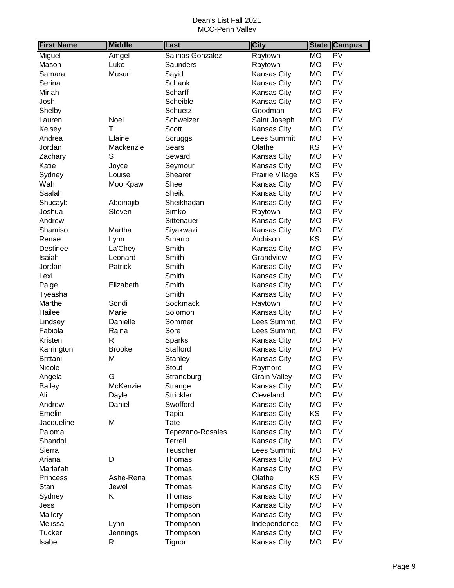| <b>First Name</b> | <b>Middle</b> | Last             | <b>City</b>           | <b>State</b>    | <b>Campus</b>            |
|-------------------|---------------|------------------|-----------------------|-----------------|--------------------------|
| Miguel            | Amgel         | Salinas Gonzalez | Raytown               | <b>MO</b>       | $\overline{\mathsf{PV}}$ |
| Mason             | Luke          | Saunders         | Raytown               | <b>MO</b>       | PV                       |
| Samara            | Musuri        | Sayid            | Kansas City           | <b>MO</b>       | PV                       |
| Serina            |               | Schank           | <b>Kansas City</b>    | <b>MO</b>       | PV                       |
| Miriah            |               | Scharff          | <b>Kansas City</b>    | MO              | PV                       |
| Josh              |               | Scheible         | Kansas City           | <b>MO</b>       | PV                       |
| Shelby            |               | Schuetz          | Goodman               | <b>MO</b>       | PV                       |
| Lauren            | Noel          | Schweizer        | Saint Joseph          | <b>MO</b>       | PV                       |
| Kelsey            | T             | Scott            | Kansas City           | MO              | PV                       |
| Andrea            | Elaine        | Scruggs          | Lees Summit           | <b>MO</b>       | PV                       |
| Jordan            | Mackenzie     | <b>Sears</b>     | Olathe                | KS              | PV                       |
| Zachary           | S             | Seward           | Kansas City           | <b>MO</b>       | PV                       |
| Katie             | Joyce         | Seymour          | Kansas City           | <b>MO</b>       | PV                       |
| Sydney            | Louise        | Shearer          | Prairie Village       | KS              | PV                       |
| Wah               | Moo Kpaw      | Shee             | Kansas City           | <b>MO</b>       | PV                       |
| Saalah            |               | <b>Sheik</b>     | Kansas City           | <b>MO</b>       | PV                       |
| Shucayb           | Abdinajib     | Sheikhadan       | <b>Kansas City</b>    | <b>MO</b>       | PV                       |
| Joshua            | Steven        | Simko            | Raytown               | <b>MO</b>       | PV                       |
| Andrew            |               | Sittenauer       | Kansas City           | <b>MO</b>       | PV                       |
| Shamiso           | Martha        | Siyakwazi        | Kansas City           | <b>MO</b>       | PV                       |
| Renae             | Lynn          | Smarro           | Atchison              | <b>KS</b>       | PV                       |
| <b>Destinee</b>   | La'Chey       | Smith            | Kansas City           | <b>MO</b>       | PV                       |
| Isaiah            | Leonard       | Smith            | Grandview             | <b>MO</b>       | PV                       |
| Jordan            | Patrick       | Smith            | <b>Kansas City</b>    | <b>MO</b>       | PV                       |
| Lexi              |               | Smith            | <b>Kansas City</b>    | МO              | PV                       |
| Paige             | Elizabeth     | Smith            | Kansas City           | MO              | PV                       |
| Tyeasha           |               | Smith            | Kansas City           | МO              | PV                       |
| Marthe            | Sondi         | Sockmack         | Raytown               | <b>MO</b>       | PV                       |
| Hailee            | Marie         | Solomon          | Kansas City           | <b>MO</b>       | PV                       |
| Lindsey           | Danielle      | Sommer           | Lees Summit           | <b>MO</b>       | PV                       |
| Fabiola           | Raina         | Sore             | Lees Summit           | MO              | PV                       |
| Kristen           | R             | Sparks           | Kansas City           | <b>MO</b>       | PV                       |
| Karrington        | <b>Brooke</b> | Stafford         | Kansas City           | <b>MO</b>       | PV                       |
| <b>Brittani</b>   | M             | Stanley          | <b>Kansas City</b>    | MO              | PV                       |
| Nicole            |               | Stout            | Raymore               | <b>MO</b>       | PV                       |
| Angela            | G             | Strandburg       | <b>Grain Valley</b>   | MO              | PV                       |
| <b>Bailey</b>     | McKenzie      | Strange          | Kansas City           | <b>MO</b>       | PV                       |
| Ali               | Dayle         | <b>Strickler</b> | Cleveland             | <b>MO</b>       | PV                       |
| Andrew            | Daniel        | Swofford         | <b>Kansas City</b>    | MO              | PV                       |
| Emelin            |               | Tapia            | Kansas City           | KS              | PV                       |
| Jacqueline        | M             | Tate             | <b>Kansas City</b>    | MO              | PV                       |
| Paloma            |               | Tepezano-Rosales | Kansas City           | MO              | PV                       |
| Shandoll          |               | Terrell          | <b>Kansas City</b>    | МO              | PV                       |
| Sierra            |               | Teuscher         | Lees Summit           | <b>MO</b>       | PV<br>PV                 |
| Ariana            | D             | Thomas           | Kansas City           | MO              | PV                       |
| Marlai'ah         |               | Thomas           | Kansas City<br>Olathe | МO              | PV                       |
| Princess          | Ashe-Rena     | Thomas           |                       | KS              | PV                       |
| Stan              | Jewel         | Thomas           | <b>Kansas City</b>    | MO              |                          |
| Sydney            | Κ             | Thomas           | Kansas City           | <b>MO</b>       | PV<br>PV                 |
| Jess              |               | Thompson         | Kansas City           | MO              | PV                       |
| Mallory           |               | Thompson         | Kansas City           | MO              | PV                       |
| Melissa           | Lynn          | Thompson         | Independence          | MO<br><b>MO</b> | PV                       |
| Tucker            | Jennings      | Thompson         | Kansas City           |                 | PV                       |
| Isabel            | R             | Tignor           | Kansas City           | <b>MO</b>       |                          |